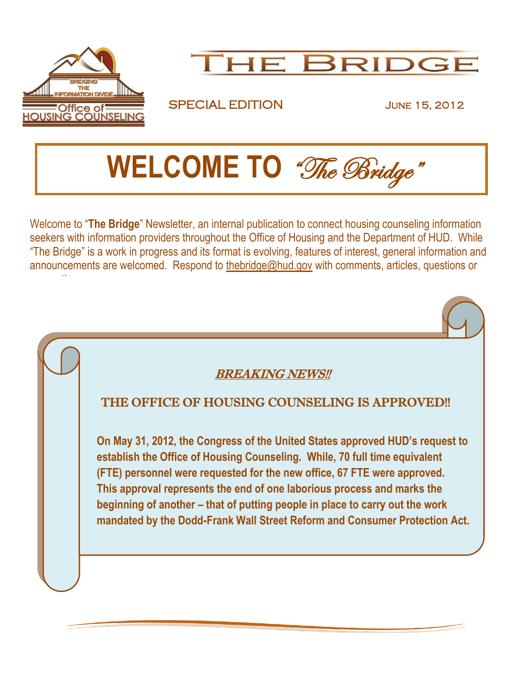



## SPECIAL EDITION JUNE 15, 2012

 **WELCOME TO** "The Bridge"

Welcome to "**The Bridge**" Newsletter, an internal publication to connect housing counseling information seekers with information providers throughout the Office of Housing and the Department of HUD. While "The Bridge" is a work in progress and its format is evolving, features of interest, general information and announcements are welcomed. Respond to [thebridge@hud.gov](mailto:thebridge@hud.gov) with comments, articles, questions or suggestions.

## BREAKING NEWS!!

### THE OFFICE OF HOUSING COUNSELING IS APPROVED!!

**On May 31, 2012, the Congress of the United States approved HUD's request to establish the Office of Housing Counseling. While, 70 full time equivalent (FTE) personnel were requested for the new office, 67 FTE were approved. This approval represents the end of one laborious process and marks the beginning of another – that of putting people in place to carry out the work mandated by the Dodd-Frank Wall Street Reform and Consumer Protection Act.**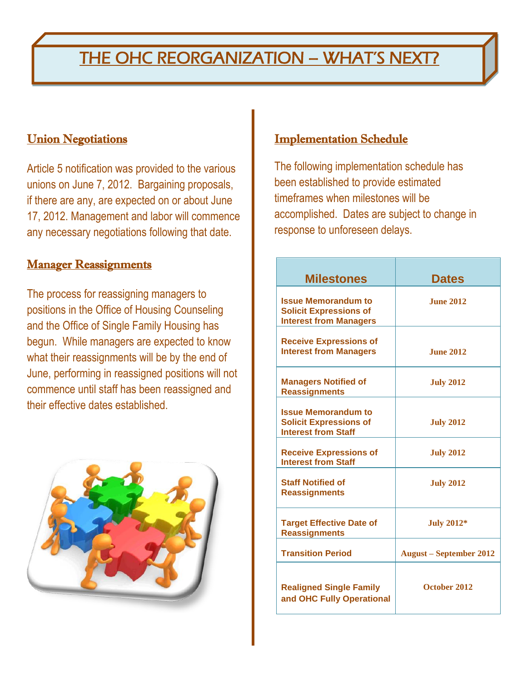# THE OHC REORGANIZATION - WHAT'S NEXT?

### **Union Negotiations**

Article 5 notification was provided to the various unions on June 7, 2012. Bargaining proposals, if there are any, are expected on or about June 17, 2012. Management and labor will commence any necessary negotiations following that date.

### **Manager Reassignments**

The process for reassigning managers to positions in the Office of Housing Counseling and the Office of Single Family Housing has begun. While managers are expected to know what their reassignments will be by the end of June, performing in reassigned positions will not commence until staff has been reassigned and their effective dates established.



## Implementation Schedule

The following implementation schedule has been established to provide estimated timeframes when milestones will be accomplished. Dates are subject to change in response to unforeseen delays.

| <b>Milestones</b>                                                                            | <b>Dates</b>                   |
|----------------------------------------------------------------------------------------------|--------------------------------|
| <b>Issue Memorandum to</b><br><b>Solicit Expressions of</b><br><b>Interest from Managers</b> | <b>June 2012</b>               |
| <b>Receive Expressions of</b><br><b>Interest from Managers</b>                               | <b>June 2012</b>               |
| <b>Managers Notified of</b><br><b>Reassignments</b>                                          | <b>July 2012</b>               |
| <b>Issue Memorandum to</b><br><b>Solicit Expressions of</b><br><b>Interest from Staff</b>    | <b>July 2012</b>               |
| <b>Receive Expressions of</b><br><b>Interest from Staff</b>                                  | <b>July 2012</b>               |
| <b>Staff Notified of</b><br><b>Reassignments</b>                                             | <b>July 2012</b>               |
| <b>Target Effective Date of</b><br><b>Reassignments</b>                                      | <b>July 2012*</b>              |
| <b>Transition Period</b>                                                                     | <b>August – September 2012</b> |
| <b>Realigned Single Family</b><br>and OHC Fully Operational                                  | October 2012                   |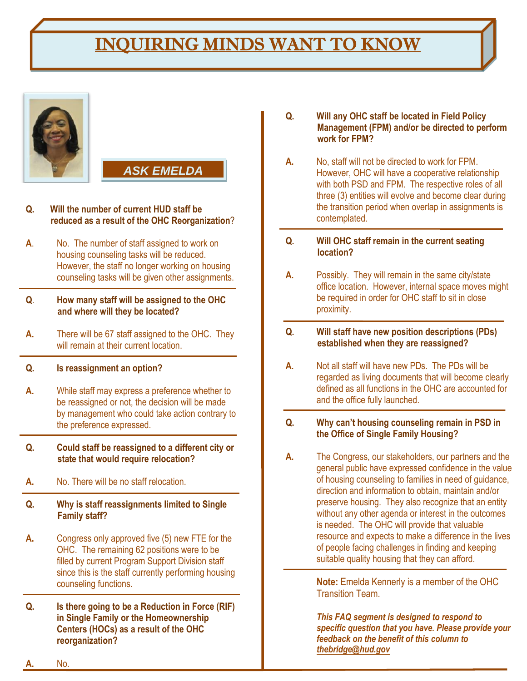# INQUIRING MINDS WANT TO KNOW





- **Q. Will the number of current HUD staff be reduced as a result of the OHC Reorganization**?
- **A**. No. The number of staff assigned to work on housing counseling tasks will be reduced. However, the staff no longer working on housing counseling tasks will be given other assignments.

#### **Q**. **How many staff will be assigned to the OHC and where will they be located?**

**A.** There will be 67 staff assigned to the OHC. They will remain at their current location.

### **Q. Is reassignment an option?**

- **A.** While staff may express a preference whether to be reassigned or not, the decision will be made by management who could take action contrary to the preference expressed.
- **Q. Could staff be reassigned to a different city or state that would require relocation?**
- **A.** No. There will be no staff relocation.
- **Q. Why is staff reassignments limited to Single Family staff?**
- **A.** Congress only approved five (5) new FTE for the OHC. The remaining 62 positions were to be filled by current Program Support Division staff since this is the staff currently performing housing counseling functions.
- **Q. Is there going to be a Reduction in Force (RIF) in Single Family or the Homeownership Centers (HOCs) as a result of the OHC reorganization?**
- **Q. Will any OHC staff be located in Field Policy Management (FPM) and/or be directed to perform work for FPM?**
- **A.** No, staff will not be directed to work for FPM. However, OHC will have a cooperative relationship with both PSD and FPM. The respective roles of all three (3) entities will evolve and become clear during the transition period when overlap in assignments is contemplated.
- **Q. Will OHC staff remain in the current seating location?**
- **A.** Possibly. They will remain in the same city/state office location. However, internal space moves might be required in order for OHC staff to sit in close proximity.
- **Q. Will staff have new position descriptions (PDs) established when they are reassigned?**
- **A.** Not all staff will have new PDs. The PDs will be regarded as living documents that will become clearly defined as all functions in the OHC are accounted for and the office fully launched.
- **Q. Why can't housing counseling remain in PSD in the Office of Single Family Housing?**
- **A.** The Congress, our stakeholders, our partners and the general public have expressed confidence in the value of housing counseling to families in need of guidance, direction and information to obtain, maintain and/or preserve housing. They also recognize that an entity without any other agenda or interest in the outcomes is needed. The OHC will provide that valuable resource and expects to make a difference in the lives of people facing challenges in finding and keeping suitable quality housing that they can afford.

**Note:** Emelda Kennerly is a member of the OHC Transition Team.

*This FAQ segment is designed to respond to specific question that you have. Please provide your feedback on the benefit of this column to [thebridge@hud.gov](mailto:thebridge@hud.gov)*

**A.** No.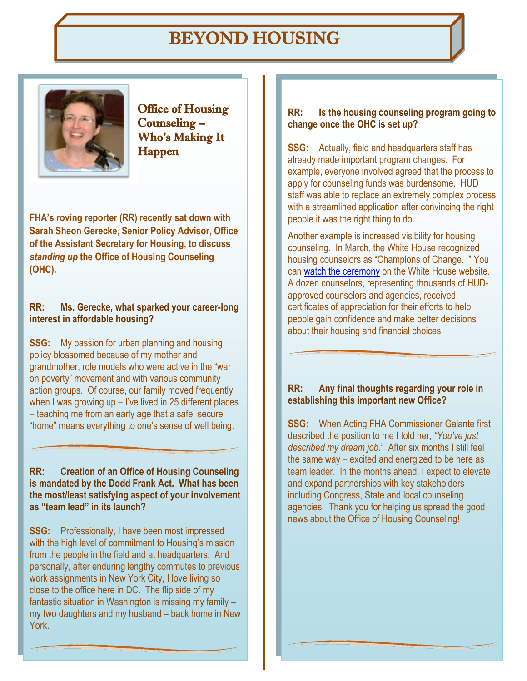# BEYOND HOUSING



Office of Housing Counseling – Who's Making It Happen

**FHA's roving reporter (RR) recently sat down with Sarah Sheon Gerecke, Senior Policy Advisor, Office of the Assistant Secretary for Housing, to discuss**  *standing up* **the Office of Housing Counseling (OHC).**

### **RR: Ms. Gerecke, what sparked your career-long interest in affordable housing?**

**SSG:** My passion for urban planning and housing policy blossomed because of my mother and grandmother, role models who were active in the "war on poverty" movement and with various community action groups. Of course, our family moved frequently when I was growing up  $-$  I've lived in 25 different places – teaching me from an early age that a safe, secure "home" means everything to one's sense of well being.

### **RR: Creation of an Office of Housing Counseling is mandated by the Dodd Frank Act. What has been the most/least satisfying aspect of your involvement as "team lead" in its launch?**

**SSG:** Professionally, I have been most impressed with the high level of commitment to Housing's mission from the people in the field and at headquarters. And personally, after enduring lengthy commutes to previous work assignments in New York City, I love living so close to the office here in DC. The flip side of my fantastic situation in Washington is missing my family – my two daughters and my husband – back home in New York.

#### **RR: Is the housing counseling program going to change once the OHC is set up?**

**SSG:** Actually, field and headquarters staff has already made important program changes. For example, everyone involved agreed that the process to apply for counseling funds was burdensome. HUD staff was able to replace an extremely complex process with a streamlined application after convincing the right people it was the right thing to do.

Another example is increased visibility for housing counseling. In March, the White House recognized housing counselors as "Champions of Change. " You can [watch the ceremony](http://www.youtube.com/watch?v=ioclSWVqLTs&context=C3b60c10ADOEgsToPDskJk-8cEao1OC95E-OPpU5-1) on the White House website. A dozen counselors, representing thousands of HUDapproved counselors and agencies, received certificates of appreciation for their efforts to help people gain confidence and make better decisions about their housing and financial choices.

### **RR: Any final thoughts regarding your role in establishing this important new Office?**

**SSG:** When Acting FHA Commissioner Galante first described the position to me I told her, *"You've just described my dream job*." After six months I still feel the same way – excited and energized to be here as team leader. In the months ahead, I expect to elevate and expand partnerships with key stakeholders including Congress, State and local counseling agencies. Thank you for helping us spread the good news about the Office of Housing Counseling!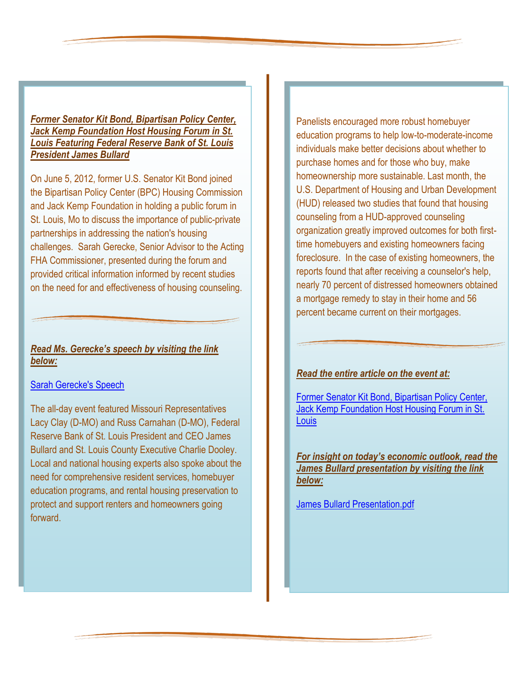### *Former Senator Kit Bond, Bipartisan Policy Center, Jack Kemp Foundation Host Housing Forum in St. Louis Featuring Federal Reserve Bank of St. Louis President James Bullard*

On June 5, 2012, former U.S. Senator Kit Bond joined the Bipartisan Policy Center (BPC) Housing Commission and Jack Kemp Foundation in holding a public forum in St. Louis, Mo to discuss the importance of public-private partnerships in addressing the nation's housing challenges. Sarah Gerecke, Senior Advisor to the Acting FHA Commissioner, presented during the forum and provided critical information informed by recent studies on the need for and effectiveness of housing counseling.

### *Read Ms. Gerecke's speech by visiting the link below:*

### [Sarah Gerecke's Speech](file:///C:/Documents%20and%20Settings/Resident/Local%20Settings/Temporary%20Internet%20Files/Content.IE5/PHCZT2TU/Sarah%20Gerecke)

The all-day event featured Missouri Representatives Lacy Clay (D-MO) and Russ Carnahan (D-MO), Federal Reserve Bank of St. Louis President and CEO James Bullard and St. Louis County Executive Charlie Dooley. Local and national housing experts also spoke about the need for comprehensive resident services, homebuyer education programs, and rental housing preservation to protect and support renters and homeowners going forward.

Panelists encouraged more robust homebuyer education programs to help low-to-moderate-income individuals make better decisions about whether to purchase homes and for those who buy, make homeownership more sustainable. Last month, the U.S. Department of Housing and Urban Development (HUD) released two studies that found that housing counseling from a HUD-approved counseling organization greatly improved outcomes for both firsttime homebuyers and existing homeowners facing foreclosure. In the case of existing homeowners, the reports found that after receiving a counselor's help, nearly 70 percent of distressed homeowners obtained a mortgage remedy to stay in their home and 56 percent became current on their mortgages.

### *Read the entire article on the event at:*

[Former Senator Kit Bond, Bipartisan Policy Center,](http://www.prnewswire.com/news-releases/former-senator-kit-bond-bipartisan-policy-center-jack-kemp-foundation-host-housing-forum-in-st-louis-featuring-federal-reserve-bank-of-st-louis-president-james-bullard-157278415.html)  [Jack Kemp Foundation Host Housing Forum in St.](http://www.prnewswire.com/news-releases/former-senator-kit-bond-bipartisan-policy-center-jack-kemp-foundation-host-housing-forum-in-st-louis-featuring-federal-reserve-bank-of-st-louis-president-james-bullard-157278415.html)  **[Louis](http://www.prnewswire.com/news-releases/former-senator-kit-bond-bipartisan-policy-center-jack-kemp-foundation-host-housing-forum-in-st-louis-featuring-federal-reserve-bank-of-st-louis-president-james-bullard-157278415.html)** 

*For insight on today's economic outlook, read the James Bullard presentation by visiting the link below:*

[James Bullard Presentation.pdf](file:///C:/Documents%20and%20Settings/Resident/Local%20Settings/Temporary%20Internet%20Files/Content.IE5/PHCZT2TU/James%20Bullard%20Presentation.pdf)